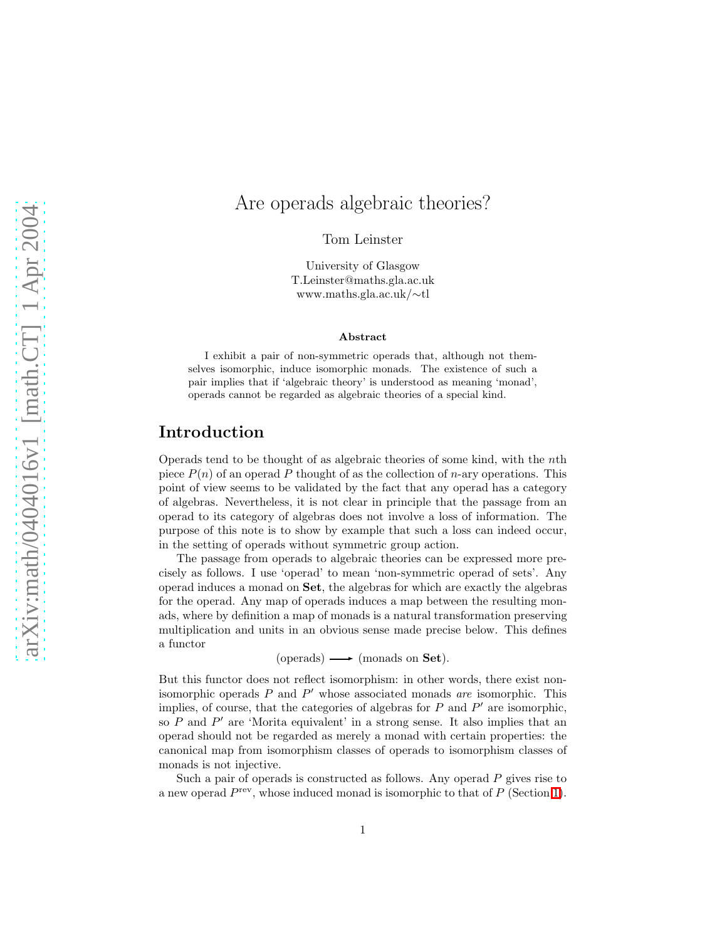# Are operads algebraic theories?

Tom Leinster

University of Glasgow T.Leinster@maths.gla.ac.uk www.maths.gla.ac.uk/∼tl

#### Abstract

I exhibit a pair of non-symmetric operads that, although not themselves isomorphic, induce isomorphic monads. The existence of such a pair implies that if 'algebraic theory' is understood as meaning 'monad', operads cannot be regarded as algebraic theories of a special kind.

### Introduction

Operads tend to be thought of as algebraic theories of some kind, with the nth piece  $P(n)$  of an operad P thought of as the collection of n-ary operations. This point of view seems to be validated by the fact that any operad has a category of algebras. Nevertheless, it is not clear in principle that the passage from an operad to its category of algebras does not involve a loss of information. The purpose of this note is to show by example that such a loss can indeed occur, in the setting of operads without symmetric group action.

The passage from operads to algebraic theories can be expressed more precisely as follows. I use 'operad' to mean 'non-symmetric operad of sets'. Any operad induces a monad on Set, the algebras for which are exactly the algebras for the operad. Any map of operads induces a map between the resulting monads, where by definition a map of monads is a natural transformation preserving multiplication and units in an obvious sense made precise below. This defines a functor

 $(openads) \longrightarrow (monads on Set).$ 

But this functor does not reflect isomorphism: in other words, there exist nonisomorphic operads  $P$  and  $P'$  whose associated monads are isomorphic. This implies, of course, that the categories of algebras for  $P$  and  $P'$  are isomorphic, so  $P$  and  $P'$  are 'Morita equivalent' in a strong sense. It also implies that an operad should not be regarded as merely a monad with certain properties: the canonical map from isomorphism classes of operads to isomorphism classes of monads is not injective.

Such a pair of operads is constructed as follows. Any operad  $P$  gives rise to a new operad  $P^{\text{rev}}$ , whose induced monad is isomorphic to that of  $P$  (Section [1\)](#page-1-0).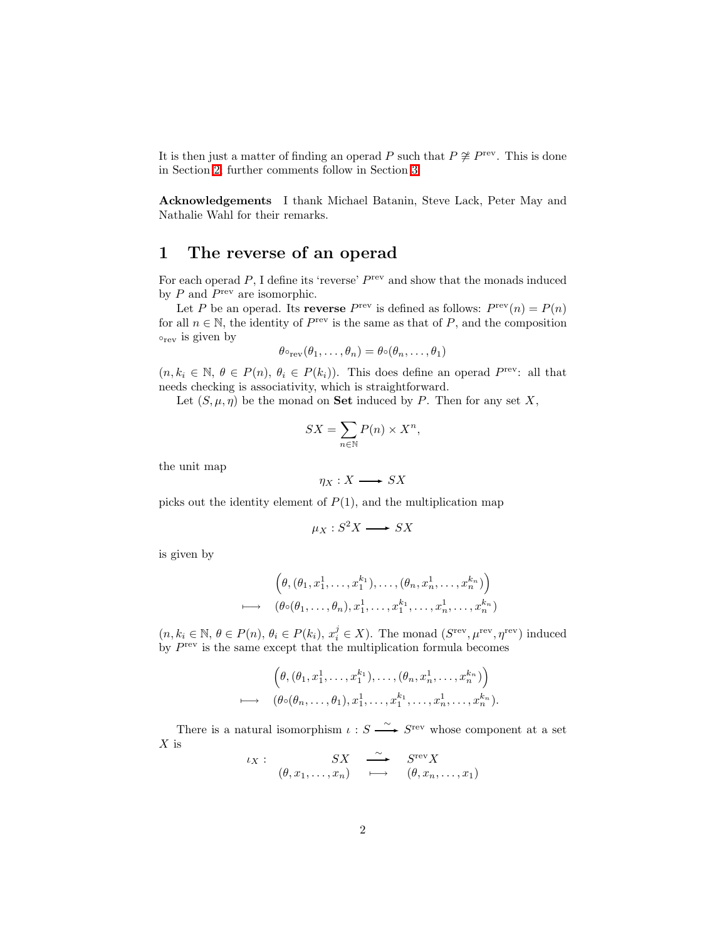It is then just a matter of finding an operad P such that  $P \not\cong P^{\text{rev}}$ . This is done in Section [2;](#page-3-0) further comments follow in Section [3.](#page-5-0)

Acknowledgements I thank Michael Batanin, Steve Lack, Peter May and Nathalie Wahl for their remarks.

## <span id="page-1-0"></span>1 The reverse of an operad

For each operad  $P$ , I define its 'reverse'  $P^{\text{rev}}$  and show that the monads induced by  $P$  and  $P^{\text{rev}}$  are isomorphic.

Let P be an operad. Its **reverse**  $P^{\text{rev}}$  is defined as follows:  $P^{\text{rev}}(n) = P(n)$ for all  $n \in \mathbb{N}$ , the identity of  $P^{\text{rev}}$  is the same as that of P, and the composition  $\circ_{\text{rev}}$  is given by

$$
\theta \circ_{\text{rev}}(\theta_1, \dots, \theta_n) = \theta \circ (\theta_n, \dots, \theta_1)
$$

 $(n, k_i \in \mathbb{N}, \theta \in P(n), \theta_i \in P(k_i)).$  This does define an operad  $P^{\text{rev}}$ : all that needs checking is associativity, which is straightforward.

Let  $(S, \mu, \eta)$  be the monad on **Set** induced by P. Then for any set X,

$$
SX = \sum_{n \in \mathbb{N}} P(n) \times X^n,
$$

the unit map

$$
\eta_X:X\longrightarrow SX
$$

picks out the identity element of  $P(1)$ , and the multiplication map

$$
\mu_X : S^2 X \longrightarrow SX
$$

is given by

$$
\begin{array}{c}\n\left(\theta,(\theta_1,x_1^1,\ldots,x_1^{k_1}),\ldots,(\theta_n,x_n^1,\ldots,x_n^{k_n})\right) \\
\longmapsto \quad (\theta \circ (\theta_1,\ldots,\theta_n),x_1^1,\ldots,x_1^{k_1},\ldots,x_n^{k_n},\ldots,x_n^{k_n})\n\end{array}
$$

 $(n, k_i \in \mathbb{N}, \theta \in P(n), \theta_i \in P(k_i), x_i^j \in X)$ . The monad  $(S^{\text{rev}}, \mu^{\text{rev}}, \eta^{\text{rev}})$  induced by  $P^{\text{rev}}$  is the same except that the multiplication formula becomes

$$
\begin{array}{ll}\n\left(\theta,(\theta_1,x_1^1,\ldots,x_1^{k_1}),\ldots,(\theta_n,x_n^1,\ldots,x_n^{k_n})\right) \\
\longmapsto & (\theta\circ(\theta_n,\ldots,\theta_1),x_1^1,\ldots,x_1^{k_1},\ldots,x_n^1,\ldots,x_n^{k_n}).\n\end{array}
$$

There is a natural isomorphism  $\iota : S \longrightarrow S^{\text{rev}}$  whose component at a set  $X$  is

$$
\iota_X: \quad \begin{array}{ccc} & SX & \stackrel{\sim}{\longrightarrow} & S^{\text{rev}}X \\ (\theta, x_1, \dots, x_n) & \longmapsto & (\theta, x_n, \dots, x_1) \end{array}
$$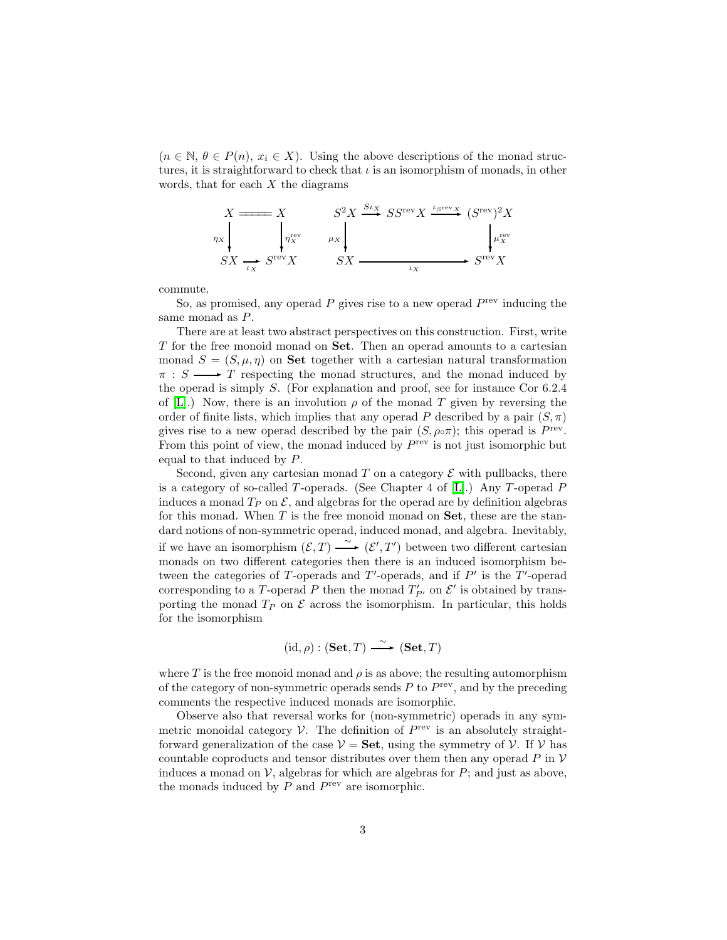$(n \in \mathbb{N}, \theta \in P(n), x_i \in X)$ . Using the above descriptions of the monad structures, it is straightforward to check that  $\iota$  is an isomorphism of monads, in other words, that for each  $X$  the diagrams



commute.

So, as promised, any operad  $P$  gives rise to a new operad  $P^{\text{rev}}$  inducing the same monad as P.

There are at least two abstract perspectives on this construction. First, write T for the free monoid monad on Set. Then an operad amounts to a cartesian monad  $S = (S, \mu, \eta)$  on **Set** together with a cartesian natural transformation  $\pi : S \longrightarrow T$  respecting the monad structures, and the monad induced by the operad is simply S. (For explanation and proof, see for instance Cor 6.2.4 of [\[L\]](#page-6-0).) Now, there is an involution  $\rho$  of the monad T given by reversing the order of finite lists, which implies that any operad P described by a pair  $(S, \pi)$ gives rise to a new operad described by the pair  $(S, \rho \circ \pi)$ ; this operad is  $P^{\text{rev}}$ . From this point of view, the monad induced by  $P^{\text{rev}}$  is not just isomorphic but equal to that induced by P.

Second, given any cartesian monad T on a category  $\mathcal E$  with pullbacks, there is a category of so-called T-operads. (See Chapter 4 of  $[L]$ .) Any T-operad P induces a monad  $T_P$  on  $\mathcal{E}$ , and algebras for the operad are by definition algebras for this monad. When  $T$  is the free monoid monad on  $Set$ , these are the standard notions of non-symmetric operad, induced monad, and algebra. Inevitably, if we have an isomorphism  $(\mathcal{E}, T) \longrightarrow (\mathcal{E}', T')$  between two different cartesian monads on two different categories then there is an induced isomorphism between the categories of T-operads and  $T'$ -operads, and if  $P'$  is the T'-operad corresponding to a T-operad P then the monad  $T'_{P'}$  on  $\mathcal{E}'$  is obtained by transporting the monad  $T_P$  on  $\mathcal E$  across the isomorphism. In particular, this holds for the isomorphism

$$
(id, \rho) : (\mathbf{Set}, T) \xrightarrow{\sim} (\mathbf{Set}, T)
$$

where T is the free monoid monad and  $\rho$  is as above; the resulting automorphism of the category of non-symmetric operads sends  $P$  to  $P^{\text{rev}}$ , and by the preceding comments the respective induced monads are isomorphic.

Observe also that reversal works for (non-symmetric) operads in any symmetric monoidal category  $V$ . The definition of  $P^{\text{rev}}$  is an absolutely straightforward generalization of the case  $V = Set$ , using the symmetry of V. If V has countable coproducts and tensor distributes over them then any operad  $P$  in  $V$ induces a monad on  $V$ , algebras for which are algebras for  $P$ ; and just as above, the monads induced by  $P$  and  $P^{\text{rev}}$  are isomorphic.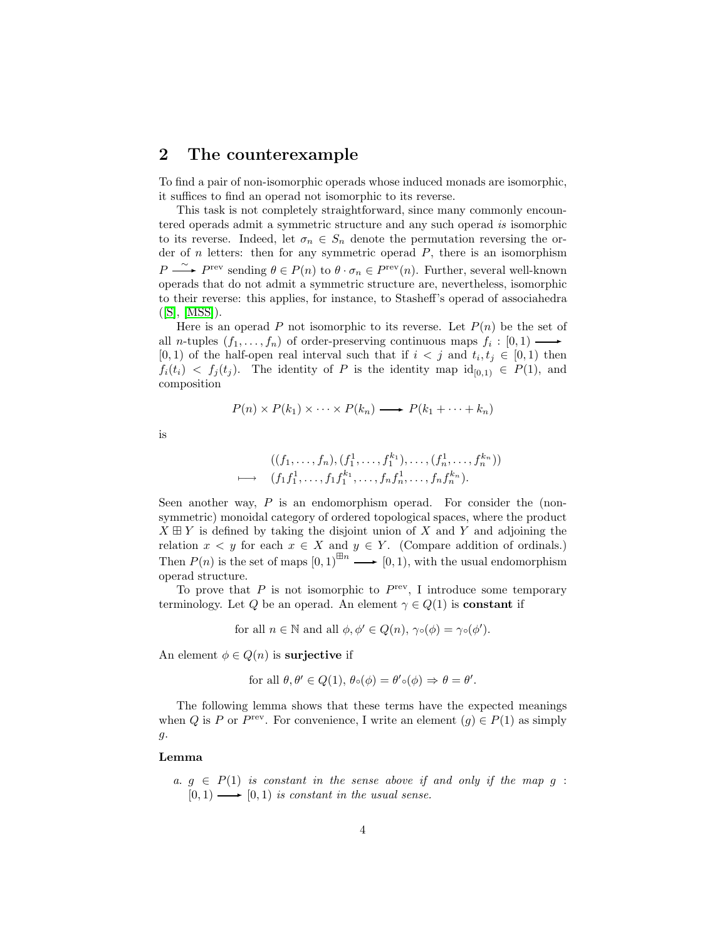#### <span id="page-3-0"></span>2 The counterexample

To find a pair of non-isomorphic operads whose induced monads are isomorphic, it suffices to find an operad not isomorphic to its reverse.

This task is not completely straightforward, since many commonly encountered operads admit a symmetric structure and any such operad is isomorphic to its reverse. Indeed, let  $\sigma_n \in S_n$  denote the permutation reversing the order of  $n$  letters: then for any symmetric operad  $P$ , there is an isomorphism  $P \longrightarrow P^{\text{rev}}$  sending  $\theta \in P(n)$  to  $\theta \cdot \sigma_n \in P^{\text{rev}}(n)$ . Further, several well-known operads that do not admit a symmetric structure are, nevertheless, isomorphic to their reverse: this applies, for instance, to Stasheff's operad of associahedra  $([S], [MSS]).$  $([S], [MSS]).$  $([S], [MSS]).$  $([S], [MSS]).$  $([S], [MSS]).$ 

Here is an operad P not isomorphic to its reverse. Let  $P(n)$  be the set of all *n*-tuples  $(f_1, \ldots, f_n)$  of order-preserving continuous maps  $f_i : [0, 1) \longrightarrow$ [0, 1] of the half-open real interval such that if  $i < j$  and  $t_i, t_j \in [0, 1)$  then  $f_i(t_i) \leq f_i(t_i)$ . The identity of P is the identity map  $id_{[0,1)} \in P(1)$ , and composition

$$
P(n) \times P(k_1) \times \cdots \times P(k_n) \longrightarrow P(k_1 + \cdots + k_n)
$$

is

$$
((f_1, \ldots, f_n), (f_1^1, \ldots, f_1^{k_1}), \ldots, (f_n^1, \ldots, f_n^{k_n}))
$$
  

$$
\mapsto (f_1 f_1^1, \ldots, f_1 f_1^{k_1}, \ldots, f_n f_n^1, \ldots, f_n f_n^{k_n}).
$$

Seen another way,  $P$  is an endomorphism operad. For consider the (nonsymmetric) monoidal category of ordered topological spaces, where the product  $X \boxplus Y$  is defined by taking the disjoint union of X and Y and adjoining the relation  $x < y$  for each  $x \in X$  and  $y \in Y$ . (Compare addition of ordinals.) Then  $P(n)$  is the set of maps  $[0, 1]^{\boxplus n} \longrightarrow [0, 1)$ , with the usual endomorphism operad structure.

To prove that  $P$  is not isomorphic to  $P^{\text{rev}}$ , I introduce some temporary terminology. Let Q be an operad. An element  $\gamma \in Q(1)$  is **constant** if

for all  $n \in \mathbb{N}$  and all  $\phi, \phi' \in Q(n), \gamma \circ (\phi) = \gamma \circ (\phi').$ 

An element  $\phi \in Q(n)$  is surjective if

for all 
$$
\theta, \theta' \in Q(1), \theta \circ (\phi) = \theta' \circ (\phi) \Rightarrow \theta = \theta'.
$$

The following lemma shows that these terms have the expected meanings when Q is P or  $P^{\text{rev}}$ . For convenience, I write an element  $(g) \in P(1)$  as simply g.

#### <span id="page-3-1"></span>Lemma

a.  $g \in P(1)$  is constant in the sense above if and only if the map g:  $[0, 1) \longrightarrow [0, 1)$  is constant in the usual sense.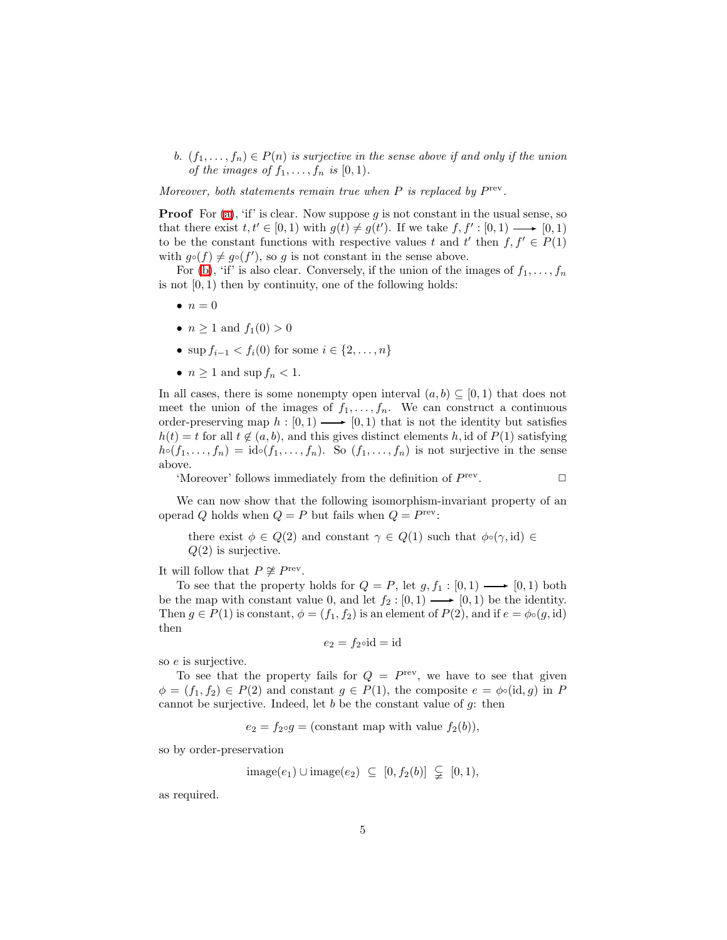<span id="page-4-0"></span>b.  $(f_1, \ldots, f_n) \in P(n)$  is surjective in the sense above if and only if the union of the images of  $f_1, \ldots, f_n$  is  $[0, 1)$ .

Moreover, both statements remain true when  $P$  is replaced by  $P^{\text{rev}}$ .

**Proof** For [\(a\)](#page-3-1), 'if' is clear. Now suppose g is not constant in the usual sense, so that there exist  $t, t' \in [0, 1)$  with  $g(t) \neq g(t')$ . If we take  $f, f' : [0, 1) \longrightarrow [0, 1)$ to be the constant functions with respective values t and t' then  $f, f' \in P(1)$ with  $g\circ(f) \neq g\circ(f')$ , so g is not constant in the sense above.

For [\(b\)](#page-4-0), 'if' is also clear. Conversely, if the union of the images of  $f_1, \ldots, f_n$ is not  $[0, 1)$  then by continuity, one of the following holds:

- $\bullet$   $n=0$
- $n > 1$  and  $f_1(0) > 0$
- sup  $f_{i-1} < f_i(0)$  for some  $i \in \{2, ..., n\}$
- $n \geq 1$  and sup  $f_n < 1$ .

In all cases, there is some nonempty open interval  $(a, b) \subseteq [0, 1)$  that does not meet the union of the images of  $f_1, \ldots, f_n$ . We can construct a continuous order-preserving map  $h : [0, 1) \longrightarrow [0, 1)$  that is not the identity but satisfies  $h(t) = t$  for all  $t \notin (a, b)$ , and this gives distinct elements h, id of  $P(1)$  satisfying  $h \circ (f_1, \ldots, f_n) = \text{id} \circ (f_1, \ldots, f_n)$ . So  $(f_1, \ldots, f_n)$  is not surjective in the sense above.

'Moreover' follows immediately from the definition of  $P^{\text{rev}}$ .  $\Box$ 

We can now show that the following isomorphism-invariant property of an operad Q holds when  $Q = P$  but fails when  $Q = P^{\text{rev}}$ :

there exist  $\phi \in Q(2)$  and constant  $\gamma \in Q(1)$  such that  $\phi \circ (\gamma, id) \in$  $Q(2)$  is surjective.

It will follow that  $P \not\cong P^{\text{rev}}$ .

To see that the property holds for  $Q = P$ , let  $g, f_1 : [0, 1) \longrightarrow [0, 1)$  both be the map with constant value 0, and let  $f_2 : [0, 1) \longrightarrow [0, 1)$  be the identity. Then  $g \in P(1)$  is constant,  $\phi = (f_1, f_2)$  is an element of  $P(2)$ , and if  $e = \phi \circ (g, id)$ then

$$
e_2 = f_2 \circ \mathrm{id} = \mathrm{id}
$$

so e is surjective.

To see that the property fails for  $Q = P^{\text{rev}}$ , we have to see that given  $\phi = (f_1, f_2) \in P(2)$  and constant  $g \in P(1)$ , the composite  $e = \phi \circ (id, g)$  in P cannot be surjective. Indeed, let b be the constant value of  $g$ : then

$$
e_2 = f_2 \circ g =
$$
(constant map with value  $f_2(b)$ ),

so by order-preservation

$$
image(e_1) \cup image(e_2) \subseteq [0, f_2(b)] \subsetneq [0, 1),
$$

as required.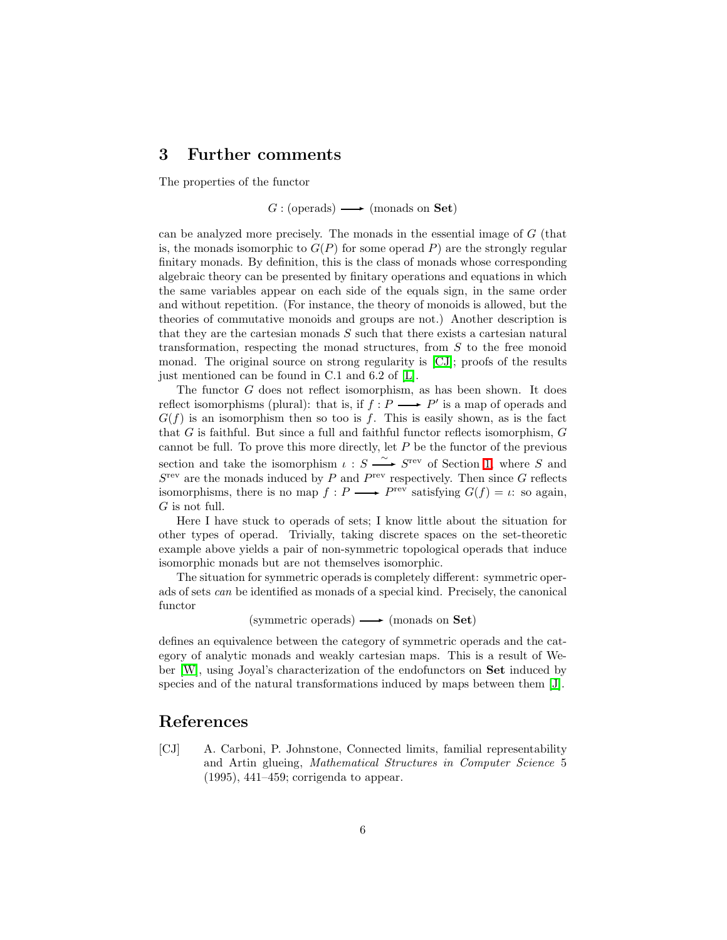#### <span id="page-5-0"></span>3 Further comments

The properties of the functor

 $G : ( \text{operads}) \longrightarrow ( \text{monads on } \mathbf{Set})$ 

can be analyzed more precisely. The monads in the essential image of G (that is, the monads isomorphic to  $G(P)$  for some operad P) are the strongly regular finitary monads. By definition, this is the class of monads whose corresponding algebraic theory can be presented by finitary operations and equations in which the same variables appear on each side of the equals sign, in the same order and without repetition. (For instance, the theory of monoids is allowed, but the theories of commutative monoids and groups are not.) Another description is that they are the cartesian monads  $S$  such that there exists a cartesian natural transformation, respecting the monad structures, from S to the free monoid monad. The original source on strong regularity is [\[CJ\]](#page-5-1); proofs of the results just mentioned can be found in C.1 and 6.2 of [\[L\]](#page-6-0).

The functor  $G$  does not reflect isomorphism, as has been shown. It does reflect isomorphisms (plural): that is, if  $f: P \longrightarrow P'$  is a map of operads and  $G(f)$  is an isomorphism then so too is f. This is easily shown, as is the fact that  $G$  is faithful. But since a full and faithful functor reflects isomorphism,  $G$ cannot be full. To prove this more directly, let  $P$  be the functor of the previous section and take the isomorphism  $\iota : S \longrightarrow S^{\text{rev}}$  of Section [1,](#page-1-0) where S and  $S<sup>rev</sup>$  are the monads induced by P and  $P<sup>rev</sup>$  respectively. Then since G reflects isomorphisms, there is no map  $f: P \longrightarrow P^{\text{rev}}$  satisfying  $G(f) = \iota$ : so again, G is not full.

Here I have stuck to operads of sets; I know little about the situation for other types of operad. Trivially, taking discrete spaces on the set-theoretic example above yields a pair of non-symmetric topological operads that induce isomorphic monads but are not themselves isomorphic.

The situation for symmetric operads is completely different: symmetric operads of sets can be identified as monads of a special kind. Precisely, the canonical functor

(symmetric operads)  $\longrightarrow$  (monads on Set)

defines an equivalence between the category of symmetric operads and the category of analytic monads and weakly cartesian maps. This is a result of Weber [\[W\]](#page-6-3), using Joyal's characterization of the endofunctors on Set induced by species and of the natural transformations induced by maps between them [\[J\]](#page-6-4).

### <span id="page-5-1"></span>References

[CJ] A. Carboni, P. Johnstone, Connected limits, familial representability and Artin glueing, Mathematical Structures in Computer Science 5 (1995), 441–459; corrigenda to appear.